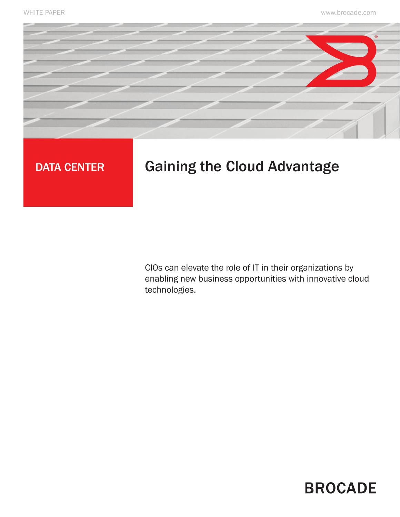

# DATA CENTER Gaining the Cloud Advantage

CIOs can elevate the role of IT in their organizations by enabling new business opportunities with innovative cloud technologies.

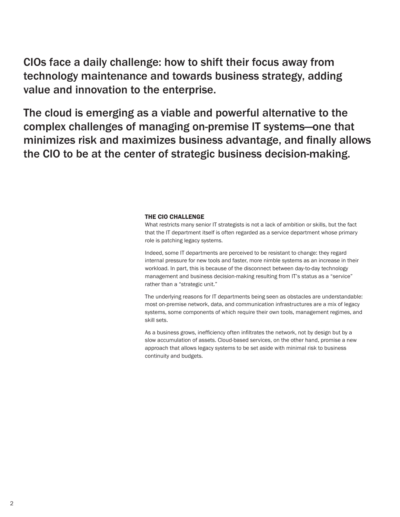CIOs face a daily challenge: how to shift their focus away from technology maintenance and towards business strategy, adding value and innovation to the enterprise.

The cloud is emerging as a viable and powerful alternative to the complex challenges of managing on-premise IT systems—one that minimizes risk and maximizes business advantage, and finally allows the CIO to be at the center of strategic business decision-making.

## The CIO challenge

What restricts many senior IT strategists is not a lack of ambition or skills, but the fact that the IT department itself is often regarded as a service department whose primary role is patching legacy systems.

Indeed, some IT departments are perceived to be resistant to change: they regard internal pressure for new tools and faster, more nimble systems as an increase in their workload. In part, this is because of the disconnect between day-to-day technology management and business decision-making resulting from IT's status as a "service" rather than a "strategic unit."

The underlying reasons for IT departments being seen as obstacles are understandable: most on-premise network, data, and communication infrastructures are a mix of legacy systems, some components of which require their own tools, management regimes, and skill sets.

As a business grows, inefficiency often infiltrates the network, not by design but by a slow accumulation of assets. Cloud-based services, on the other hand, promise a new approach that allows legacy systems to be set aside with minimal risk to business continuity and budgets.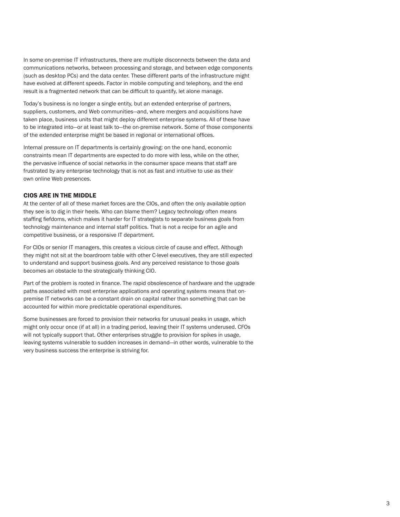In some on-premise IT infrastructures, there are multiple disconnects between the data and communications networks, between processing and storage, and between edge components (such as desktop PCs) and the data center. These different parts of the infrastructure might have evolved at different speeds. Factor in mobile computing and telephony, and the end result is a fragmented network that can be difficult to quantify, let alone manage.

Today's business is no longer a single entity, but an extended enterprise of partners, suppliers, customers, and Web communities—and, where mergers and acquisitions have taken place, business units that might deploy different enterprise systems. All of these have to be integrated into—or at least talk to—the on-premise network. Some of those components of the extended enterprise might be based in regional or international offices.

Internal pressure on IT departments is certainly growing: on the one hand, economic constraints mean IT departments are expected to do more with less, while on the other, the pervasive influence of social networks in the consumer space means that staff are frustrated by any enterprise technology that is not as fast and intuitive to use as their own online Web presences.

# CIOS ARE IN THE MIDDLE

At the center of all of these market forces are the CIOs, and often the only available option they see is to dig in their heels. Who can blame them? Legacy technology often means staffing fiefdoms, which makes it harder for IT strategists to separate business goals from technology maintenance and internal staff politics. That is not a recipe for an agile and competitive business, or a responsive IT department.

For CIOs or senior IT managers, this creates a vicious circle of cause and effect. Although they might not sit at the boardroom table with other C-level executives, they are still expected to understand and support business goals. And any perceived resistance to those goals becomes an obstacle to the strategically thinking CIO.

Part of the problem is rooted in finance. The rapid obsolescence of hardware and the upgrade paths associated with most enterprise applications and operating systems means that onpremise IT networks can be a constant drain on capital rather than something that can be accounted for within more predictable operational expenditures.

Some businesses are forced to provision their networks for unusual peaks in usage, which might only occur once (if at all) in a trading period, leaving their IT systems underused. CFOs will not typically support that. Other enterprises struggle to provision for spikes in usage, leaving systems vulnerable to sudden increases in demand—in other words, vulnerable to the very business success the enterprise is striving for.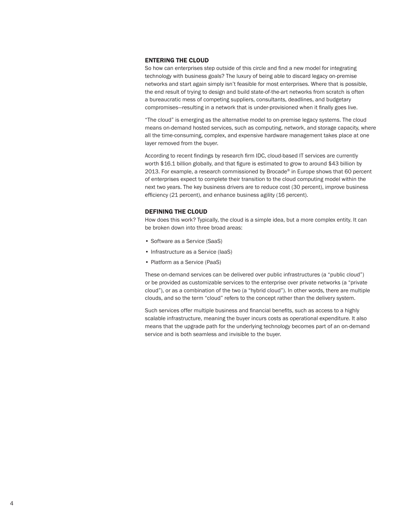### Entering the cloud

So how can enterprises step outside of this circle and find a new model for integrating technology with business goals? The luxury of being able to discard legacy on-premise networks and start again simply isn't feasible for most enterprises. Where that is possible, the end result of trying to design and build state-of-the-art networks from scratch is often a bureaucratic mess of competing suppliers, consultants, deadlines, and budgetary compromises—resulting in a network that is under-provisioned when it finally goes live.

"The cloud" is emerging as the alternative model to on-premise legacy systems. The cloud means on-demand hosted services, such as computing, network, and storage capacity, where all the time-consuming, complex, and expensive hardware management takes place at one layer removed from the buyer.

According to recent findings by research firm IDC, cloud-based IT services are currently worth \$16.1 billion globally, and that figure is estimated to grow to around \$43 billion by 2013. For example, a research commissioned by Brocade® in Europe shows that 60 percent of enterprises expect to complete their transition to the cloud computing model within the next two years. The key business drivers are to reduce cost (30 percent), improve business efficiency (21 percent), and enhance business agility (16 percent).

#### DEFINING THE CLOUD

How does this work? Typically, the cloud is a simple idea, but a more complex entity. It can be broken down into three broad areas:

- Software as a Service (SaaS)
- Infrastructure as a Service (IaaS)
- Platform as a Service (PaaS)

These on-demand services can be delivered over public infrastructures (a "public cloud") or be provided as customizable services to the enterprise over private networks (a "private cloud"), or as a combination of the two (a "hybrid cloud"). In other words, there are multiple clouds, and so the term "cloud" refers to the concept rather than the delivery system.

Such services offer multiple business and financial benefits, such as access to a highly scalable infrastructure, meaning the buyer incurs costs as operational expenditure. It also means that the upgrade path for the underlying technology becomes part of an on-demand service and is both seamless and invisible to the buyer.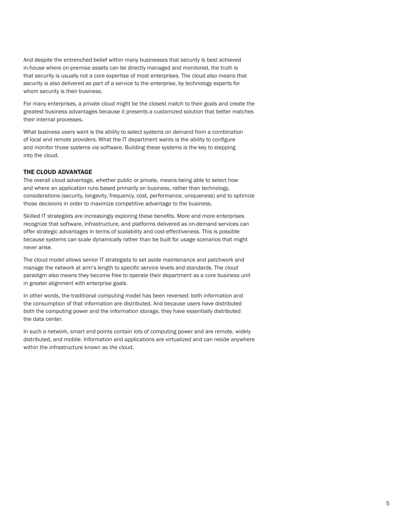And despite the entrenched belief within many businesses that security is best achieved in-house where on-premise assets can be directly managed and monitored, the truth is that security is usually not a core expertise of most enterprises. The cloud also means that security is also delivered as part of a service to the enterprise, by technology experts for whom security is their business.

For many enterprises, a private cloud might be the closest match to their goals and create the greatest business advantages because it presents a customized solution that better matches their internal processes.

What business users want is the ability to select systems on demand from a combination of local and remote providers. What the IT department wants is the ability to configure and monitor those systems via software. Building these systems is the key to stepping into the cloud.

# THE CLOUD ADVANTAGE

The overall cloud advantage, whether public or private, means being able to select how and where an application runs based primarily on business, rather than technology, considerations (security, longevity, frequency, cost, performance, uniqueness) and to optimize those decisions in order to maximize competitive advantage to the business.

Skilled IT strategists are increasingly exploring these benefits. More and more enterprises recognize that software, infrastructure, and platforms delivered as on-demand services can offer strategic advantages in terms of scalability and cost-effectiveness. This is possible because systems can scale dynamically rather than be built for usage scenarios that might never arise.

The cloud model allows senior IT strategists to set aside maintenance and patchwork and manage the network at arm's length to specific service levels and standards. The cloud paradigm also means they become free to operate their department as a core business unit in greater alignment with enterprise goals.

In other words, the traditional computing model has been reversed: both information and the consumption of that information are distributed. And because users have distributed both the computing power and the information storage, they have essentially distributed the data center.

In such a network, smart end points contain lots of computing power and are remote, widely distributed, and mobile. Information and applications are virtualized and can reside anywhere within the infrastructure known as *the* cloud.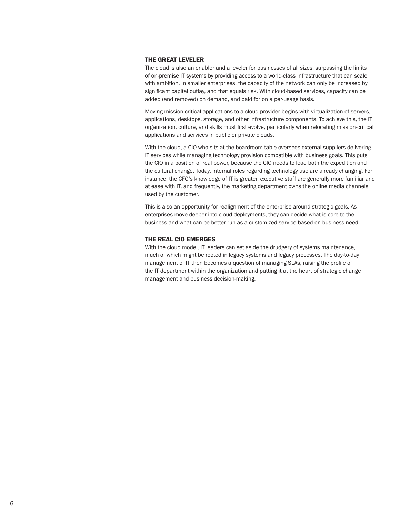#### THE GREAT LEVELER

The cloud is also an enabler and a leveler for businesses of all sizes, surpassing the limits of on-premise IT systems by providing access to a world-class infrastructure that can scale with ambition. In smaller enterprises, the capacity of the network can only be increased by significant capital outlay, and that equals risk. With cloud-based services, capacity can be added (and removed) on demand, and paid for on a per-usage basis.

Moving mission-critical applications to a cloud provider begins with virtualization of servers, applications, desktops, storage, and other infrastructure components. To achieve this, the IT organization, culture, and skills must first evolve, particularly when relocating mission-critical applications and services in public or private clouds.

With the cloud, a CIO who sits at the boardroom table oversees external suppliers delivering IT services while managing technology provision compatible with business goals. This puts the CIO in a position of real power, because the CIO needs to lead both the expedition and the cultural change. Today, internal roles regarding technology use are already changing. For instance, the CFO's knowledge of IT is greater, executive staff are generally more familiar and at ease with IT, and frequently, the marketing department owns the online media channels used by the customer.

This is also an opportunity for realignment of the enterprise around strategic goals. As enterprises move deeper into cloud deployments, they can decide what is core to the business and what can be better run as a customized service based on business need.

#### THE REAL CIO EMERGES

With the cloud model, IT leaders can set aside the drudgery of systems maintenance, much of which might be rooted in legacy systems and legacy processes. The day-to-day management of IT then becomes a question of managing SLAs, raising the profile of the IT department within the organization and putting it at the heart of strategic change management and business decision-making.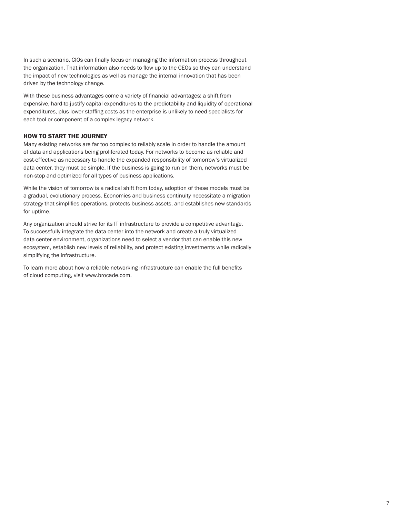In such a scenario, CIOs can finally focus on managing the information process throughout the organization. That information also needs to flow up to the CEOs so they can understand the impact of new technologies as well as manage the internal innovation that has been driven by the technology change.

With these business advantages come a variety of financial advantages: a shift from expensive, hard-to-justify capital expenditures to the predictability and liquidity of operational expenditures, plus lower staffing costs as the enterprise is unlikely to need specialists for each tool or component of a complex legacy network.

# HOW TO START THE JOURNEY

Many existing networks are far too complex to reliably scale in order to handle the amount of data and applications being proliferated today. For networks to become as reliable and cost-effective as necessary to handle the expanded responsibility of tomorrow's virtualized data center, they must be simple. If the business is going to run on them, networks must be non-stop and optimized for all types of business applications.

While the vision of tomorrow is a radical shift from today, adoption of these models must be a gradual, evolutionary process. Economies and business continuity necessitate a migration strategy that simplifies operations, protects business assets, and establishes new standards for uptime.

Any organization should strive for its IT infrastructure to provide a competitive advantage. To successfully integrate the data center into the network and create a truly virtualized data center environment, organizations need to select a vendor that can enable this new ecosystem, establish new levels of reliability, and protect existing investments while radically simplifying the infrastructure.

To learn more about how a reliable networking infrastructure can enable the full benefits of cloud computing, visit www.brocade.com.